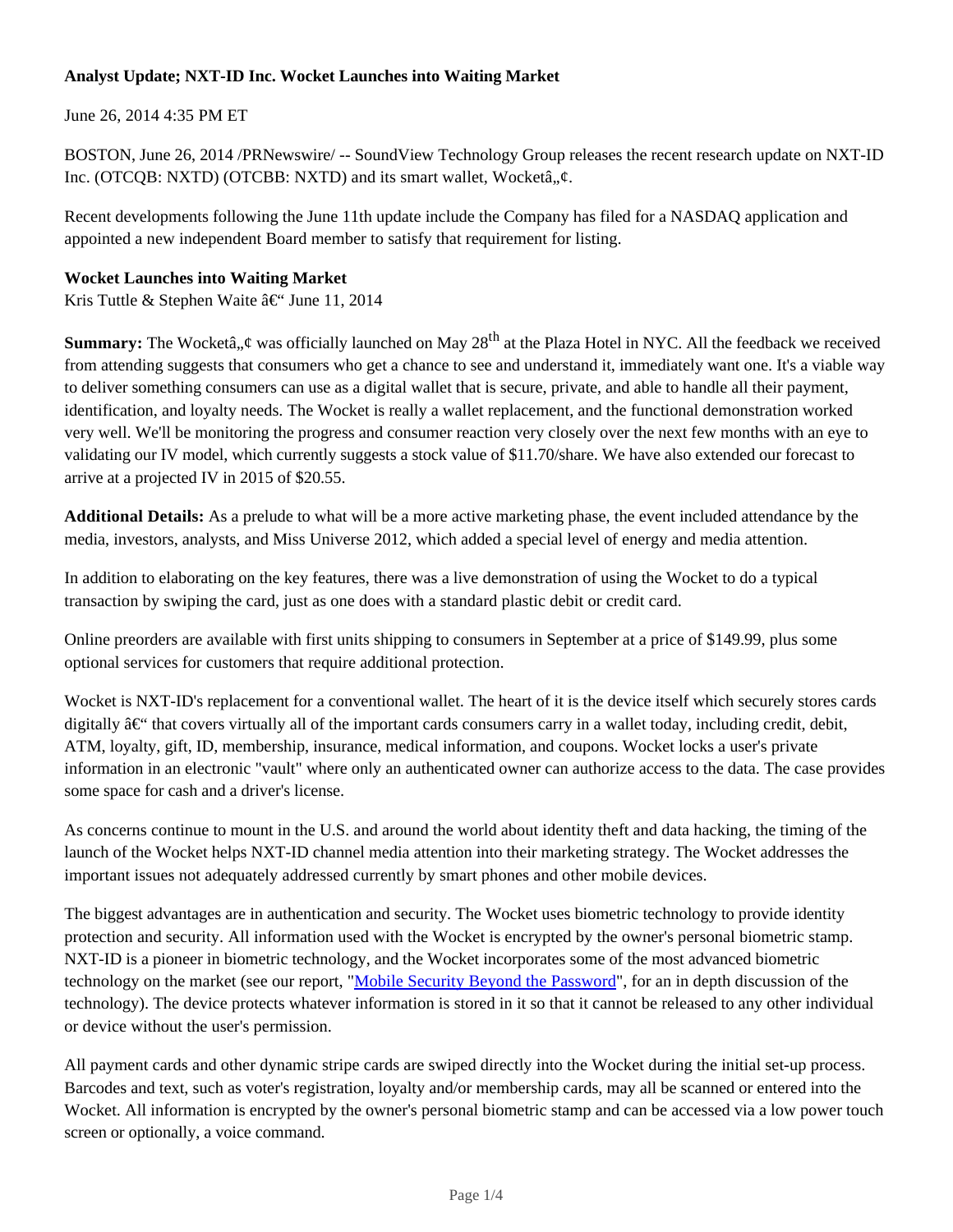# **Analyst Update; NXT-ID Inc. Wocket Launches into Waiting Market**

June 26, 2014 4:35 PM ET

BOSTON, June 26, 2014 /PRNewswire/ -- SoundView Technology Group releases the recent research update on NXT-ID Inc. (OTCQB: NXTD) (OTCBB: NXTD) and its smart wallet, Wocketâ, $\phi$ .

Recent developments following the June 11th update include the Company has filed for a NASDAQ application and appointed a new independent Board member to satisfy that requirement for listing.

## **Wocket Launches into Waiting Market**

Kris Tuttle & Stephen Waite  $\hat{a} \in \mathcal{C}$  June 11, 2014

**Summary:** The Wocketâ, ¢ was officially launched on May 28<sup>th</sup> at the Plaza Hotel in NYC. All the feedback we received from attending suggests that consumers who get a chance to see and understand it, immediately want one. It's a viable way to deliver something consumers can use as a digital wallet that is secure, private, and able to handle all their payment, identification, and loyalty needs. The Wocket is really a wallet replacement, and the functional demonstration worked very well. We'll be monitoring the progress and consumer reaction very closely over the next few months with an eye to validating our IV model, which currently suggests a stock value of \$11.70/share. We have also extended our forecast to arrive at a projected IV in 2015 of \$20.55.

**Additional Details:** As a prelude to what will be a more active marketing phase, the event included attendance by the media, investors, analysts, and Miss Universe 2012, which added a special level of energy and media attention.

In addition to elaborating on the key features, there was a live demonstration of using the Wocket to do a typical transaction by swiping the card, just as one does with a standard plastic debit or credit card.

Online preorders are available with first units shipping to consumers in September at a price of \$149.99, plus some optional services for customers that require additional protection.

Wocket is NXT-ID's replacement for a conventional wallet. The heart of it is the device itself which securely stores cards digitally  $\hat{a} \in \hat{C}$  that covers virtually all of the important cards consumers carry in a wallet today, including credit, debit, ATM, loyalty, gift, ID, membership, insurance, medical information, and coupons. Wocket locks a user's private information in an electronic "vault" where only an authenticated owner can authorize access to the data. The case provides some space for cash and a driver's license.

As concerns continue to mount in the U.S. and around the world about identity theft and data hacking, the timing of the launch of the Wocket helps NXT-ID channel media attention into their marketing strategy. The Wocket addresses the important issues not adequately addressed currently by smart phones and other mobile devices.

The biggest advantages are in authentication and security. The Wocket uses biometric technology to provide identity protection and security. All information used with the Wocket is encrypted by the owner's personal biometric stamp. NXT-ID is a pioneer in biometric technology, and the Wocket incorporates some of the most advanced biometric technology on the market (see our report, "Mobile Security Beyond the Password", for an in depth discussion of the technology). The device protects whatever information is stored in it so that it cannot be released to any other individual or device without the user's permission.

All payment cards and other dynamic stripe cards are swiped directly into the Wocket during the initial set-up process. Barcodes and text, such as voter's registration, loyalty and/or membership cards, may all be scanned or entered into the Wocket. All information is encrypted by the owner's personal biometric stamp and can be accessed via a low power touch screen or optionally, a voice command.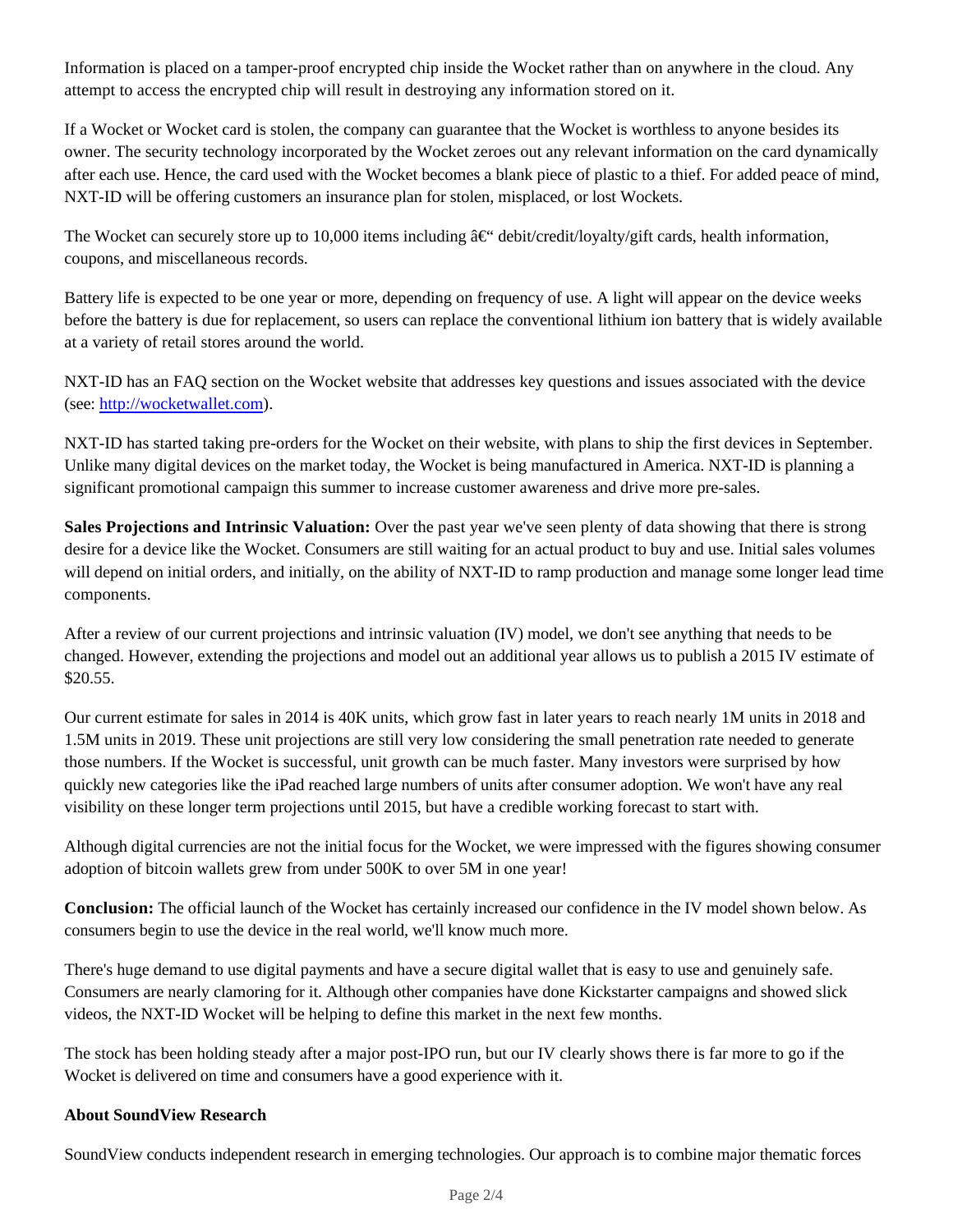Information is placed on a tamper-proof encrypted chip inside the Wocket rather than on anywhere in the cloud. Any attempt to access the encrypted chip will result in destroying any information stored on it.

If a Wocket or Wocket card is stolen, the company can guarantee that the Wocket is worthless to anyone besides its owner. The security technology incorporated by the Wocket zeroes out any relevant information on the card dynamically after each use. Hence, the card used with the Wocket becomes a blank piece of plastic to a thief. For added peace of mind, NXT-ID will be offering customers an insurance plan for stolen, misplaced, or lost Wockets.

The Wocket can securely store up to 10,000 items including  $\hat{a} \in \hat{a}$  debit/credit/loyalty/gift cards, health information, coupons, and miscellaneous records.

Battery life is expected to be one year or more, depending on frequency of use. A light will appear on the device weeks before the battery is due for replacement, so users can replace the conventional lithium ion battery that is widely available at a variety of retail stores around the world.

NXT-ID has an FAQ section on the Wocket website that addresses key questions and issues associated with the device (see: http://wocketwallet.com).

NXT-ID has started taking pre-orders for the Wocket on their website, with plans to ship the first devices in September. Unlike many digital devices on the market today, the Wocket is being manufactured in America. NXT-ID is planning a significant promotional campaign this summer to increase customer awareness and drive more pre-sales.

**Sales Projections and Intrinsic Valuation:** Over the past year we've seen plenty of data showing that there is strong desire for a device like the Wocket. Consumers are still waiting for an actual product to buy and use. Initial sales volumes will depend on initial orders, and initially, on the ability of NXT-ID to ramp production and manage some longer lead time components.

After a review of our current projections and intrinsic valuation (IV) model, we don't see anything that needs to be changed. However, extending the projections and model out an additional year allows us to publish a 2015 IV estimate of \$20.55.

Our current estimate for sales in 2014 is 40K units, which grow fast in later years to reach nearly 1M units in 2018 and 1.5M units in 2019. These unit projections are still very low considering the small penetration rate needed to generate those numbers. If the Wocket is successful, unit growth can be much faster. Many investors were surprised by how quickly new categories like the iPad reached large numbers of units after consumer adoption. We won't have any real visibility on these longer term projections until 2015, but have a credible working forecast to start with.

Although digital currencies are not the initial focus for the Wocket, we were impressed with the figures showing consumer adoption of bitcoin wallets grew from under 500K to over 5M in one year!

**Conclusion:** The official launch of the Wocket has certainly increased our confidence in the IV model shown below. As consumers begin to use the device in the real world, we'll know much more.

There's huge demand to use digital payments and have a secure digital wallet that is easy to use and genuinely safe. Consumers are nearly clamoring for it. Although other companies have done Kickstarter campaigns and showed slick videos, the NXT-ID Wocket will be helping to define this market in the next few months.

The stock has been holding steady after a major post-IPO run, but our IV clearly shows there is far more to go if the Wocket is delivered on time and consumers have a good experience with it.

### **About SoundView Research**

SoundView conducts independent research in emerging technologies. Our approach is to combine major thematic forces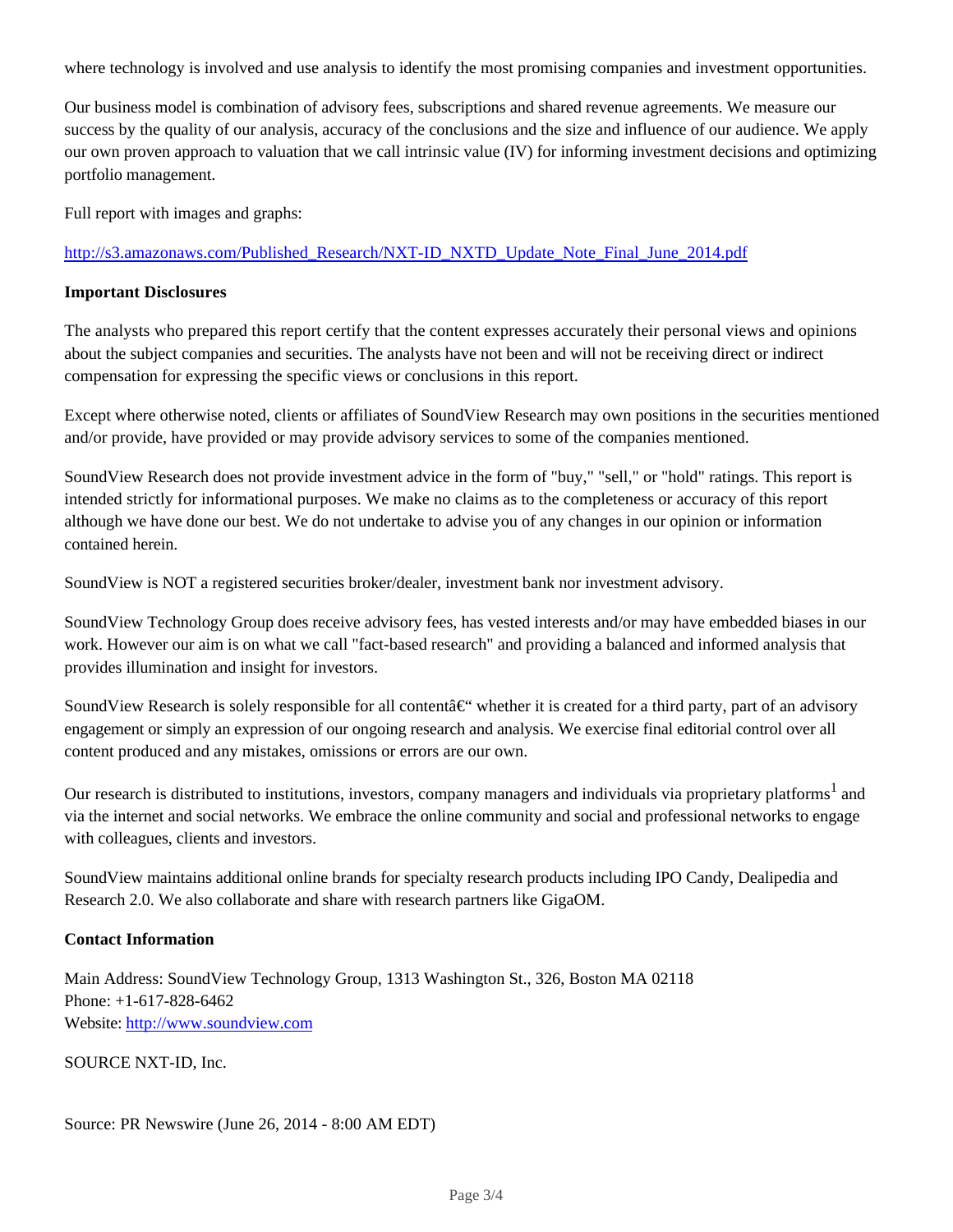where technology is involved and use analysis to identify the most promising companies and investment opportunities.

Our business model is combination of advisory fees, subscriptions and shared revenue agreements. We measure our success by the quality of our analysis, accuracy of the conclusions and the size and influence of our audience. We apply our own proven approach to valuation that we call intrinsic value (IV) for informing investment decisions and optimizing portfolio management.

Full report with images and graphs:

# http://s3.amazonaws.com/Published\_Research/NXT-ID\_NXTD\_Update\_Note\_Final\_June\_2014.pdf

### **Important Disclosures**

The analysts who prepared this report certify that the content expresses accurately their personal views and opinions about the subject companies and securities. The analysts have not been and will not be receiving direct or indirect compensation for expressing the specific views or conclusions in this report.

Except where otherwise noted, clients or affiliates of SoundView Research may own positions in the securities mentioned and/or provide, have provided or may provide advisory services to some of the companies mentioned.

SoundView Research does not provide investment advice in the form of "buy," "sell," or "hold" ratings. This report is intended strictly for informational purposes. We make no claims as to the completeness or accuracy of this report although we have done our best. We do not undertake to advise you of any changes in our opinion or information contained herein.

SoundView is NOT a registered securities broker/dealer, investment bank nor investment advisory.

SoundView Technology Group does receive advisory fees, has vested interests and/or may have embedded biases in our work. However our aim is on what we call "fact-based research" and providing a balanced and informed analysis that provides illumination and insight for investors.

SoundView Research is solely responsible for all contenta $\epsilon^{\prime\prime}$  whether it is created for a third party, part of an advisory engagement or simply an expression of our ongoing research and analysis. We exercise final editorial control over all content produced and any mistakes, omissions or errors are our own.

Our research is distributed to institutions, investors, company managers and individuals via proprietary platforms<sup>1</sup> and via the internet and social networks. We embrace the online community and social and professional networks to engage with colleagues, clients and investors.

SoundView maintains additional online brands for specialty research products including IPO Candy, Dealipedia and Research 2.0. We also collaborate and share with research partners like GigaOM.

#### **Contact Information**

Main Address: SoundView Technology Group, 1313 Washington St., 326, Boston MA 02118 Phone: +1-617-828-6462 Website: http://www.soundview.com

SOURCE NXT-ID, Inc.

Source: PR Newswire (June 26, 2014 - 8:00 AM EDT)